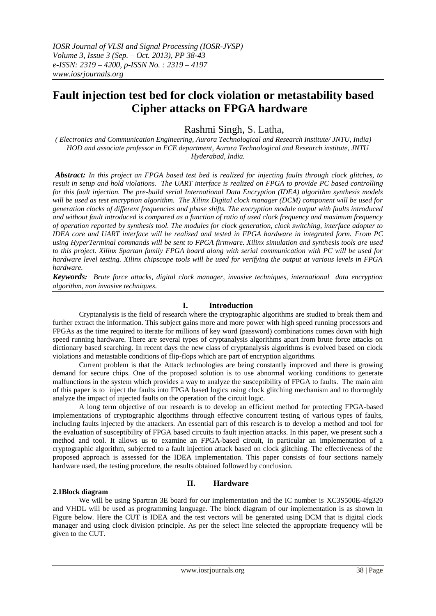# **Fault injection test bed for clock violation or metastability based Cipher attacks on FPGA hardware**

Rashmi Singh, S. Latha,

*( Electronics and Communication Engineering, Aurora Technological and Research Institute/ JNTU, India) HOD and associate professor in ECE department, Aurora Technological and Research institute, JNTU Hyderabad, India.*

*Abstract: In this project an FPGA based test bed is realized for injecting faults through clock glitches, to result in setup and hold violations. The UART interface is realized on FPGA to provide PC based controlling for this fault injection. The pre-build serial International Data Encryption (IDEA) algorithm synthesis models will be used as test encryption algorithm. The Xilinx Digital clock manager (DCM) component will be used for generation clocks of different frequencies and phase shifts. The encryption module output with faults introduced and without fault introduced is compared as a function of ratio of used clock frequency and maximum frequency of operation reported by synthesis tool. The modules for clock generation, clock switching, interface adopter to IDEA core and UART interface will be realized and tested in FPGA hardware in integrated form. From PC using HyperTerminal commands will be sent to FPGA firmware. Xilinx simulation and synthesis tools are used to this project. Xilinx Spartan family FPGA board along with serial communication with PC will be used for hardware level testing. Xilinx chipscope tools will be used for verifying the output at various levels in FPGA hardware.*

*Keywords: Brute force attacks, digital clock manager, invasive techniques, international data encryption algorithm, non invasive techniques.*

# **I. Introduction**

Cryptanalysis is the field of research where the cryptographic algorithms are studied to break them and further extract the information. This subject gains more and more power with high speed running processors and FPGAs as the time required to iterate for millions of key word (password) combinations comes down with high speed running hardware. There are several types of cryptanalysis algorithms apart from brute force attacks on dictionary based searching. In recent days the new class of cryptanalysis algorithms is evolved based on clock violations and metastable conditions of flip-flops which are part of encryption algorithms.

Current problem is that the Attack technologies are being constantly improved and there is growing demand for secure chips. One of the proposed solution is to use abnormal working conditions to generate malfunctions in the system which provides a way to analyze the susceptibility of FPGA to faults. The main aim of this paper is to inject the faults into FPGA based logics using clock glitching mechanism and to thoroughly analyze the impact of injected faults on the operation of the circuit logic.

A long term objective of our research is to develop an efficient method for protecting FPGA-based implementations of cryptographic algorithms through effective concurrent testing of various types of faults, including faults injected by the attackers. An essential part of this research is to develop a method and tool for the evaluation of susceptibility of FPGA based circuits to fault injection attacks. In this paper, we present such a method and tool. It allows us to examine an FPGA-based circuit, in particular an implementation of a cryptographic algorithm, subjected to a fault injection attack based on clock glitching. The effectiveness of the proposed approach is assessed for the IDEA implementation. This paper consists of four sections namely hardware used, the testing procedure, the results obtained followed by conclusion.

# **II. Hardware**

#### **2.1Block diagram**

We will be using Spartran 3E board for our implementation and the IC number is XC3S500E-4fg320 and VHDL will be used as programming language. The block diagram of our implementation is as shown in Figure below. Here the CUT is IDEA and the test vectors will be generated using DCM that is digital clock manager and using clock division principle. As per the select line selected the appropriate frequency will be given to the CUT.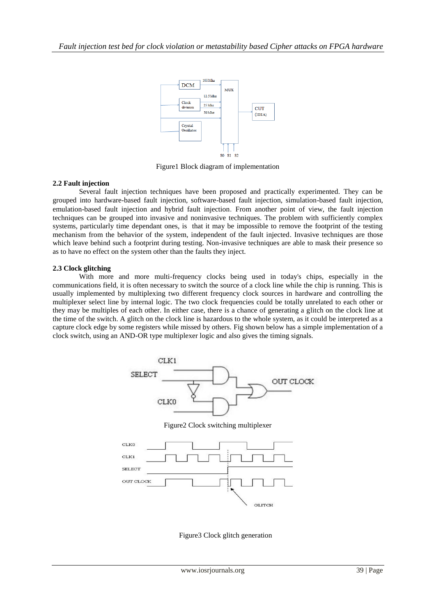

Figure1 Block diagram of implementation

## **2.2 Fault injection**

Several fault injection techniques have been proposed and practically experimented. They can be grouped into hardware-based fault injection, software-based fault injection, simulation-based fault injection, emulation-based fault injection and hybrid fault injection. From another point of view, the fault injection techniques can be grouped into invasive and noninvasive techniques. The problem with sufficiently complex systems, particularly time dependant ones, is that it may be impossible to remove the footprint of the testing mechanism from the behavior of the system, independent of the fault injected. Invasive techniques are those which leave behind such a footprint during testing. Non-invasive techniques are able to mask their presence so as to have no effect on the system other than the faults they inject.

#### **2.3 Clock glitching**

With more and more multi-frequency clocks being used in today's chips, especially in the communications field, it is often necessary to switch the source of a clock line while the chip is running. This is usually implemented by multiplexing two different frequency clock sources in hardware and controlling the multiplexer select line by internal logic. The two clock frequencies could be totally unrelated to each other or they may be multiples of each other. In either case, there is a chance of generating a glitch on the clock line at the time of the switch. A glitch on the clock line is hazardous to the whole system, as it could be interpreted as a capture clock edge by some registers while missed by others. Fig shown below has a simple implementation of a clock switch, using an AND-OR type multiplexer logic and also gives the timing signals.



Figure3 Clock glitch generation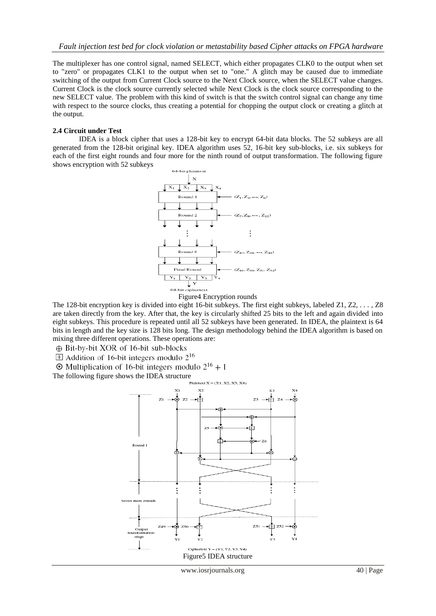The multiplexer has one control signal, named SELECT, which either propagates CLK0 to the output when set to "zero" or propagates CLK1 to the output when set to "one." A glitch may be caused due to immediate switching of the output from Current Clock source to the Next Clock source, when the SELECT value changes. Current Clock is the clock source currently selected while Next Clock is the clock source corresponding to the new SELECT value. The problem with this kind of switch is that the switch control signal can change any time with respect to the source clocks, thus creating a potential for chopping the output clock or creating a glitch at the output.

#### **2.4 Circuit under Test**

IDEA is a block cipher that uses a 128-bit key to encrypt 64-bit data blocks. The 52 subkeys are all generated from the 128-bit original key. IDEA algorithm uses 52, 16-bit key sub-blocks, i.e. six subkeys for each of the first eight rounds and four more for the ninth round of output transformation. The following figure shows encryption with 52 subkeys



The 128-bit encryption key is divided into eight 16-bit subkeys. The first eight subkeys, labeled Z1, Z2, *. . . ,* Z8 are taken directly from the key. After that, the key is circularly shifted 25 bits to the left and again divided into eight subkeys. This procedure is repeated until all 52 subkeys have been generated. In IDEA, the plaintext is 64 bits in length and the key size is 128 bits long. The design methodology behind the IDEA algorithm is based on mixing three different operations. These operations are:

⊕ Bit-by-bit XOR of 16-bit sub-blocks

 $\pm$  Addition of 16-bit integers modulo 2<sup>16</sup>

 $\odot$  Multiplication of 16-bit integers modulo  $2^{16} + 1$ 

The following figure shows the IDEA structure<br> $P_{\text{laintext X} = (X1, X2, X3, X4)}$ 

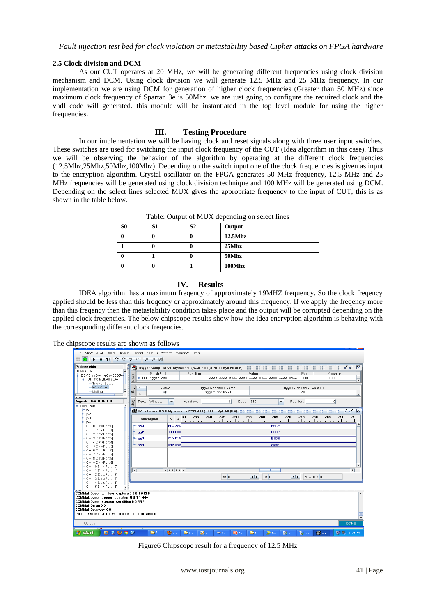#### **2.5 Clock division and DCM**

As our CUT operates at 20 MHz, we will be generating different frequencies using clock division mechanism and DCM. Using clock division we will generate 12.5 MHz and 25 MHz frequency. In our implementation we are using DCM for generation of higher clock frequencies (Greater than 50 MHz) since maximum clock frequency of Spartan 3e is 50Mhz. we are just going to configure the required clock and the vhdl code will generated. this module will be instantiated in the top level module for using the higher frequencies.

## **III. Testing Procedure**

In our implementation we will be having clock and reset signals along with three user input switches. These switches are used for switching the input clock frequency of the CUT (Idea algorithm in this case). Thus we will be observing the behavior of the algorithm by operating at the different clock frequencies (12.5Mhz,25Mhz,50Mhz,100Mhz). Depending on the switch input one of the clock frequencies is given as input to the encryption algorithm. Crystal oscillator on the FPGA generates 50 MHz frequency, 12.5 MHz and 25 MHz frequencies will be generated using clock division technique and 100 MHz will be generated using DCM. Depending on the select lines selected MUX gives the appropriate frequency to the input of CUT, this is as shown in the table below.

| S <sub>0</sub> | S <sub>1</sub> | S <sub>2</sub> | Output     |
|----------------|----------------|----------------|------------|
|                |                | 0              | $12.5M$ hz |
|                |                | ı              | 25Mhz      |
|                |                | O              | 50Mhz      |
|                |                |                | 100Mhz     |

Table: Output of MUX depending on select lines

## **IV. Results**

IDEA algorithm has a maximum freqency of approximately 19MHZ frequency. So the clock freqency applied should be less than this freqency or approximately around this frequency. If we apply the freqency more than this freqency then the metastability condition takes place and the output will be corrupted depending on the applied clock freqencies. The below chipscope results show how the idea encryption algorithm is behaving with the corresponding different clock freqencies.

The chipscope results are shown as follows

| Eile View JTAG Chain Device Trigger Setup Waveform Window Help                                                                                                                                                                    |                                                                |                          |                                 |                                                    |             |                |                                      |                |                     | کا کا اگا                                                |
|-----------------------------------------------------------------------------------------------------------------------------------------------------------------------------------------------------------------------------------|----------------------------------------------------------------|--------------------------|---------------------------------|----------------------------------------------------|-------------|----------------|--------------------------------------|----------------|---------------------|----------------------------------------------------------|
| $\blacksquare$ $\blacksquare$ $\blacksquare$ $\blacksquare$ $\blacksquare$ $\blacksquare$ $\blacksquare$<br>第0                                                                                                                    |                                                                |                          |                                 |                                                    |             |                |                                      |                |                     |                                                          |
| Project: chip                                                                                                                                                                                                                     | Trigger Setup - DEV:0 MyDevice0 (XC3S500E) UNIT:0 MyILA0 (ILA) |                          |                                 |                                                    |             |                |                                      |                |                     | $\mathbf{u}^{\mathbf{v}}$ $\mathbf{u}^{\mathbf{v}}$<br>区 |
| JTAG Chain<br>• Match<br>+ DEV:0 MyDevice0 (XC3S50)<br>+ UNIT:0 MyILA0 (ILA)                                                                                                                                                      | Match Unit<br>M0:TriggerPort0                                  |                          | Function<br>$==$                |                                                    |             | Value          |                                      | Radix<br>Bin   | Counter<br>disabled |                                                          |
| <b>Trigger Setup</b><br>Waveform<br>Trig<br>Listing                                                                                                                                                                               | Active<br>Add<br>۰<br>Del                                      |                          |                                 | <b>Trigger Condition Name</b><br>TriggerCondition0 |             |                | <b>Trigger Condition Equation</b>    | M <sub>0</sub> |                     | $\blacktriangle$<br>٠                                    |
| Capt<br>Signals: DEV: 0 UNIT: 0<br><b>9</b> Data Port                                                                                                                                                                             | Window<br>Type:                                                | $\overline{\phantom{a}}$ | Windows:                        | 1                                                  | Depth: 512  |                | Position:<br>▼                       |                | $\Omega$            |                                                          |
| $+ w1$                                                                                                                                                                                                                            | Waveform - DEV:0 MyDevice0 (XC3S500E) UNIT:0 MyILA0 (ILA)      |                          |                                 |                                                    |             |                |                                      |                |                     | $\mathbf{u}^{\mathbf{v}}$ $\mathbf{u}^{\mathbf{v}}$<br>区 |
| $- w2$<br>$\sim$ $w3$<br>$\div$ w4                                                                                                                                                                                                | <b>Bus/Signal</b>                                              | x<br>$\Omega$            | 235<br>30                       | 240<br>245                                         | 250         | 255<br>260     | 265<br>270                           | 275            | 280<br>285          | 290<br>295                                               |
| ÷<br>CH: 0 DataPort[0]                                                                                                                                                                                                            | YY <sup>1</sup>                                                | <b>FFC FFC</b>           |                                 |                                                    |             |                | FFCE                                 |                |                     |                                                          |
| CH: 1 DataPort[1]<br>۰<br>CH: 2 DataPort[2]                                                                                                                                                                                       | yy <sub>2</sub>                                                | 8BB 8BB                  |                                 |                                                    |             |                | 8BBD                                 |                |                     |                                                          |
| CH: 3 DataPort[3]<br>÷                                                                                                                                                                                                            | YY3                                                            | E1D E1D                  |                                 |                                                    |             |                | E1D6                                 |                |                     |                                                          |
| CH: 4 DataPort[4]<br>CH: 5 DataPort[5]                                                                                                                                                                                            | $\sim$ yy <sup>4</sup>                                         | 849 849                  |                                 |                                                    |             |                | 849B                                 |                |                     |                                                          |
| CH: 6 DataPort[6]                                                                                                                                                                                                                 |                                                                |                          |                                 |                                                    |             |                |                                      |                |                     |                                                          |
| CH: 7 DataPort[7]                                                                                                                                                                                                                 |                                                                |                          |                                 |                                                    |             |                |                                      |                |                     |                                                          |
| CH: 8 DataPort[8]<br>CH: 9 DataPort[9]                                                                                                                                                                                            |                                                                |                          |                                 |                                                    |             |                |                                      |                |                     |                                                          |
| CH: 10 DataPort[10]                                                                                                                                                                                                               |                                                                | $ 1 $ 4 $ 1 $ 4 $ 1 $ 4  |                                 |                                                    |             |                |                                      |                |                     |                                                          |
| $\left  \cdot \right $<br>CH: 11 DataPort[11]<br>CH: 12 DataPort[12]                                                                                                                                                              |                                                                |                          |                                 |                                                    |             |                | Ш                                    |                |                     | $\blacktriangleright$                                    |
| CH: 13 DataPort[13]                                                                                                                                                                                                               |                                                                |                          |                                 | X:0                                                |             | $\overline{1}$ | 0: 0<br>$\blacksquare$               |                | $\Delta(X-0):0$     |                                                          |
| CH: 14 DataPort[14]<br>CH: 15 DataPort[15]                                                                                                                                                                                        |                                                                |                          |                                 |                                                    |             |                |                                      |                |                     |                                                          |
| COMMAND: set window capture 00015120<br>COMMAND: set trigger condition 0 0 1 1 FFFF<br>COMMAND: set storage condition 0 0 FFFF<br>COMMAND: run 0 0<br>COMMAND: upload 0 0<br>INFO - Device 0 Unit 0: Waiting for core to be armed |                                                                |                          |                                 |                                                    |             |                |                                      |                |                     |                                                          |
| Upload                                                                                                                                                                                                                            |                                                                |                          |                                 |                                                    |             |                |                                      |                |                     | <b>DONE</b>                                              |
| 当 start<br>$\left( 2\right)$<br>$\bullet$<br>修                                                                                                                                                                                    | <b>CO</b> Fun                                                  | $Q_{\text{D}}$ G.        | <b>27</b> 1.<br><b>District</b> | $\infty$ L.                                        | <b>G</b> M. | <b>Contact</b> | $\mathbb{R}^n$ C.<br>$\rightarrow$ 1 | 153.           | 图 c.                | <b>C. 9.</b> 3:04 PM                                     |

Figure6 Chipscope result for a frequency of 12.5 MHz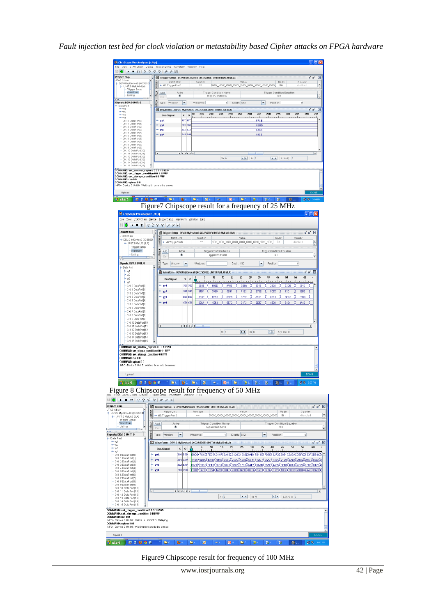| JTAG Chain<br>P DEV:0 MyDevice0 (XC3S50)                                                                                                                                                                                                                         | Match Unit<br>M0:TriggerPort0                                                                                                                                                                                                                                                                                                                                                                                                                                                                                                                        | Trigger Setup - DEV:0 MyDevice0 (XC3S500E) UNIT:0 MyILA0 (ILA)<br>Function               | Radix<br>Counter<br>Value<br>disabled<br>Bin                                                                                                                                       |
|------------------------------------------------------------------------------------------------------------------------------------------------------------------------------------------------------------------------------------------------------------------|------------------------------------------------------------------------------------------------------------------------------------------------------------------------------------------------------------------------------------------------------------------------------------------------------------------------------------------------------------------------------------------------------------------------------------------------------------------------------------------------------------------------------------------------------|------------------------------------------------------------------------------------------|------------------------------------------------------------------------------------------------------------------------------------------------------------------------------------|
| P UNIT:0 MyILA0 (ILA)<br><b>Trigger Setup</b><br>Waveform                                                                                                                                                                                                        | <b>Sull</b><br>Active<br>Add                                                                                                                                                                                                                                                                                                                                                                                                                                                                                                                         | Trigger Condition Name                                                                   | <b>Trigger Condition Equation</b>                                                                                                                                                  |
| Listing<br>أنعاصا                                                                                                                                                                                                                                                | ۰<br>Del                                                                                                                                                                                                                                                                                                                                                                                                                                                                                                                                             | TriggerCondition0                                                                        | MO                                                                                                                                                                                 |
| Signals: DEV: 0 UNIT: 0<br>Data Port<br>$-101$                                                                                                                                                                                                                   | 1002.24<br>Type: Window<br>►                                                                                                                                                                                                                                                                                                                                                                                                                                                                                                                         | Windows:<br>1<br>Depth: 512<br>Waveform - DEV:0 MyDevice0 (XC3S500E) UNIT:0 MyILA0 (ILA) | Y<br>Position:<br>$\boldsymbol{0}$                                                                                                                                                 |
| W <sup>2</sup><br>$+yy3$<br>$-$ yy4                                                                                                                                                                                                                              | $x \mid o$<br><b>Bus/Signal</b>                                                                                                                                                                                                                                                                                                                                                                                                                                                                                                                      | 235<br>240<br>245<br>250<br>255<br>30                                                    | 260<br>265<br>270<br>275<br>280<br>285<br>290                                                                                                                                      |
| CH: 0 DataPort[0]<br>CH: 1 DataPort[1]                                                                                                                                                                                                                           | FFC FFC<br>yy1<br>8BB 8BF<br>yy <sub>2</sub>                                                                                                                                                                                                                                                                                                                                                                                                                                                                                                         |                                                                                          | FFCE<br>8BBD                                                                                                                                                                       |
| CH: 2 DataPort[2]<br>CH: 3 DataPort[3]<br>CH: 4 DataPort[4]                                                                                                                                                                                                      | eid eil<br>VV3                                                                                                                                                                                                                                                                                                                                                                                                                                                                                                                                       |                                                                                          | E1D6                                                                                                                                                                               |
| CH: 5 DataPort[5]<br>CH: 6 DataPort(6)                                                                                                                                                                                                                           | 849 849<br>yy4<br>6.                                                                                                                                                                                                                                                                                                                                                                                                                                                                                                                                 |                                                                                          | 849B                                                                                                                                                                               |
| CH: 7 DataPort[7]<br>CH: 8 DataPort[8]<br>CH: 9 DataPort[9]<br>CH: 10 DataPort[10]                                                                                                                                                                               |                                                                                                                                                                                                                                                                                                                                                                                                                                                                                                                                                      |                                                                                          |                                                                                                                                                                                    |
| CH: 11 DataPort[11]<br>CH: 12 DataPort[12]                                                                                                                                                                                                                       | $\left  \cdot \right $<br>$ 1 $ ( ) ( ) ( )                                                                                                                                                                                                                                                                                                                                                                                                                                                                                                          |                                                                                          |                                                                                                                                                                                    |
| CH: 13 DataPort[13]<br>CH: 14 DataPort[14]<br>CH: 15 DataPort[15]                                                                                                                                                                                                |                                                                                                                                                                                                                                                                                                                                                                                                                                                                                                                                                      | X:0                                                                                      | $1$   0:0<br>$\begin{array}{ c c c c c c }\hline \textbf{A}(X-0):&0\\ \hline \end{array}$                                                                                          |
| COMMAND: set_trigger_condition 0 0 1 1 FFFF<br>COMMAND: set_storage_condition 0 0 FFFF<br>COMMAND: run 0 0<br>COMMAND: upload 0 0<br>INFO - Device 0 Unit 0: Waiting for core to be armed<br>Upload<br>$0.2999$<br><b>Start</b><br>ChipScope Pro Analyzer [chip] |                                                                                                                                                                                                                                                                                                                                                                                                                                                                                                                                                      |                                                                                          | <sup>?</sup> [Dr [Dr [Dr   Zr   Zr   Er   Dr   Dr   Dr   Dr   Dr   Br   B<br><b>型の 3:04 PM</b><br>Figure7 Chipscope result for a frequency of 25 MHz<br>$  \_   \square    \times$ |
|                                                                                                                                                                                                                                                                  | Eile View JTAG Chain Device Trigger Setup Waveform Window Help<br>$\mathbb{H} \otimes \mathbb{Q} \otimes \mathbb{Q} \otimes \mathbb{Q} \otimes \mathbb{Z} \otimes \mathbb{Z} \otimes \mathbb{Z} \otimes \mathbb{Z} \otimes \mathbb{Z} \otimes \mathbb{Z} \otimes \mathbb{Z} \otimes \mathbb{Z} \otimes \mathbb{Z} \otimes \mathbb{Z} \otimes \mathbb{Z} \otimes \mathbb{Z} \otimes \mathbb{Z} \otimes \mathbb{Z} \otimes \mathbb{Z} \otimes \mathbb{Z} \otimes \mathbb{Z} \otimes \mathbb{Z} \otimes \mathbb{Z} \otimes \mathbb{Z} \otimes \mathbb{$ |                                                                                          |                                                                                                                                                                                    |
| Project: chip<br>JTAG Chain                                                                                                                                                                                                                                      |                                                                                                                                                                                                                                                                                                                                                                                                                                                                                                                                                      | Trigger Setup - DEV:0 MyDevice0 (XC3S500E) UNIT:0 MyILA0 (ILA)                           | ∝ั∝'⊠                                                                                                                                                                              |
| P-DEV:0 MyDevice0 (XC3S50)<br>P- UNIT:0 MyILA0 (ILA)                                                                                                                                                                                                             | Match Unit<br>MO:TriggerPort0                                                                                                                                                                                                                                                                                                                                                                                                                                                                                                                        | Function<br>$=$                                                                          | Value<br>Radix<br>Counter<br>Bin<br>disabled                                                                                                                                       |
| Trigger Setup<br>Waveform                                                                                                                                                                                                                                        | Active<br>Add                                                                                                                                                                                                                                                                                                                                                                                                                                                                                                                                        | Trigger Condition Name                                                                   | <b>Trigger Condition Equation</b>                                                                                                                                                  |
| Listing                                                                                                                                                                                                                                                          | E<br>۰<br>Del                                                                                                                                                                                                                                                                                                                                                                                                                                                                                                                                        | TriggerCondition0                                                                        | MO.                                                                                                                                                                                |
| Signals: DEV: 0 UNIT: 0                                                                                                                                                                                                                                          | Type: Window<br>▼                                                                                                                                                                                                                                                                                                                                                                                                                                                                                                                                    | 1 Depth: 512<br>Windows:                                                                 | $\mathbf{0}$<br>▼<br>Position:                                                                                                                                                     |
| Data Port<br>$^{\circ}$ yd<br>$+ w2$                                                                                                                                                                                                                             |                                                                                                                                                                                                                                                                                                                                                                                                                                                                                                                                                      | Waveform - DEV:0 MyDevice0 (XC3S500E) UNIT:0 MyILA0 (ILA)                                | ■■ 図                                                                                                                                                                               |
| $+ yy3$<br>$+ yy4$                                                                                                                                                                                                                                               | <b>Bus/Signal</b><br>x<br>$\mathbf{0}$                                                                                                                                                                                                                                                                                                                                                                                                                                                                                                               | 10<br>15<br>20<br>5                                                                      | 25<br>$30\,$<br>35<br>40<br>45<br>50<br>55<br>60                                                                                                                                   |
| CH: 0 DataPort(0)<br>CH: 1 DataPort[1]                                                                                                                                                                                                                           | <b>SB8 SB8</b><br>$^{\circ}$ YY1                                                                                                                                                                                                                                                                                                                                                                                                                                                                                                                     | 5889<br>606D<br>AF66                                                                     | 5E8A<br>0940<br>8549<br>2905<br>53DE                                                                                                                                               |
| CH: 2 DataPort[2]<br>CH: 3 DataPort[3]                                                                                                                                                                                                                           | $-$ yy <sub>2</sub><br>94D 94D<br>$^{\circ}$ YY <sup>3</sup><br><b>B00 B00</b>                                                                                                                                                                                                                                                                                                                                                                                                                                                                       | 94D1<br>3589<br>5E91<br><b>BOOE</b><br>EB5:<br>08E9                                      | 33B3<br>F192<br>E78E<br>9CD5<br>9798<br>A60E<br>80E<br><b>BFC</b><br>F9D3                                                                                                          |
| CH: 4 DataPort[4]<br>CH: 5 DataPort[5]                                                                                                                                                                                                                           | $-$ yy4<br>636 636                                                                                                                                                                                                                                                                                                                                                                                                                                                                                                                                   | 636A<br>1E53<br>5570                                                                     | 01F2<br><b>BE57</b><br>4530<br>7404<br>4A43                                                                                                                                        |
| CH: 6 DataPort[6]<br>CH: 7 DataPort[7]                                                                                                                                                                                                                           |                                                                                                                                                                                                                                                                                                                                                                                                                                                                                                                                                      |                                                                                          |                                                                                                                                                                                    |
| CH: 8 DataPort[8]<br>CH: 9 DataPort[9]<br>CH: 10 DataPort[10]                                                                                                                                                                                                    |                                                                                                                                                                                                                                                                                                                                                                                                                                                                                                                                                      |                                                                                          |                                                                                                                                                                                    |
| CH: 11 DataPort[11]<br>CH: 12 DataPort[12]                                                                                                                                                                                                                       | $\vert \cdot \vert$                                                                                                                                                                                                                                                                                                                                                                                                                                                                                                                                  |                                                                                          |                                                                                                                                                                                    |
| CH: 13 DataPort[13]<br>CH: 14 DataPort[14]                                                                                                                                                                                                                       |                                                                                                                                                                                                                                                                                                                                                                                                                                                                                                                                                      | X: 0                                                                                     | $\begin{array}{ c c c c c }\n\hline\n\textbf{1} & \textbf{0} & \textbf{0} & \textbf{0} \\ \hline\n\end{array}$<br>$\mathbf{A}$   $\mathbf{A}$ (X-0): 0                             |
| CH: 15 DataPort[15]                                                                                                                                                                                                                                              |                                                                                                                                                                                                                                                                                                                                                                                                                                                                                                                                                      |                                                                                          |                                                                                                                                                                                    |
| COMMAND: set_window_capture 00015120<br>COMMAND: set_trigger_condition 0 0 1 1 FFFF<br>COMMAND: set_storage_condition 0 0 FFFF                                                                                                                                   |                                                                                                                                                                                                                                                                                                                                                                                                                                                                                                                                                      |                                                                                          |                                                                                                                                                                                    |
| COMMAND: run 0 0<br>COMMAND: upload 0 0                                                                                                                                                                                                                          |                                                                                                                                                                                                                                                                                                                                                                                                                                                                                                                                                      |                                                                                          |                                                                                                                                                                                    |
| INFO - Device 0 Unit 0: Waiting for core to be armed                                                                                                                                                                                                             |                                                                                                                                                                                                                                                                                                                                                                                                                                                                                                                                                      |                                                                                          |                                                                                                                                                                                    |
| Upload                                                                                                                                                                                                                                                           |                                                                                                                                                                                                                                                                                                                                                                                                                                                                                                                                                      |                                                                                          |                                                                                                                                                                                    |
| <b>i</b> start                                                                                                                                                                                                                                                   | 日本国立区<br>Þ<br>®.                                                                                                                                                                                                                                                                                                                                                                                                                                                                                                                                     | 図に<br><b>同</b> 图 图 6<br>D.<br><b>OL</b>                                                  | <b>19 8.07 PM</b><br>$\sum_{i=1}^{n}$<br>$\mathbb{B}_0$ C.<br>18.<br>图 c.<br>y.                                                                                                    |
|                                                                                                                                                                                                                                                                  | Eine Wert also Chain Derver Tingger State Present Expression Every Herp <b>CHOLERY</b>                                                                                                                                                                                                                                                                                                                                                                                                                                                               | ΟÌ                                                                                       | f 50 MHz                                                                                                                                                                           |
| $\mathbb{E}[\mathcal{Q} \mid \varphi \varphi \varphi \varphi]$ it $\blacksquare$<br>Project: chip                                                                                                                                                                |                                                                                                                                                                                                                                                                                                                                                                                                                                                                                                                                                      |                                                                                          |                                                                                                                                                                                    |
| JTAG Chain<br>P-DEV:0 MyDevice0 (XC3S50)                                                                                                                                                                                                                         | Match Unit                                                                                                                                                                                                                                                                                                                                                                                                                                                                                                                                           | Trigger Setup - DEV:0 MyDevice0 (XC3S500E) UNIT:0 MyILA0 (ILA)<br>Function               | Value<br>Radix<br>Counter                                                                                                                                                          |
| + UNIT:0 MVILA0 (ILA)                                                                                                                                                                                                                                            | atch<br>MO:TriggerPort0                                                                                                                                                                                                                                                                                                                                                                                                                                                                                                                              | $=$                                                                                      | <b>Bin</b><br>disabled                                                                                                                                                             |
| Trigger Setup                                                                                                                                                                                                                                                    | Active<br>Add<br><b>Trig</b><br>۰<br>Del                                                                                                                                                                                                                                                                                                                                                                                                                                                                                                             | Trigger Condition Name<br>TriggerCondition0                                              | <b>Trigger Condition Equation</b><br>M <sub>0</sub>                                                                                                                                |
| Waveform<br>Listing                                                                                                                                                                                                                                              |                                                                                                                                                                                                                                                                                                                                                                                                                                                                                                                                                      |                                                                                          |                                                                                                                                                                                    |
| $\rightarrow$                                                                                                                                                                                                                                                    | Type: Window<br>$\blacktriangledown$                                                                                                                                                                                                                                                                                                                                                                                                                                                                                                                 | Depth: 512<br>Windows:<br>1                                                              | 0 <sup>1</sup><br>۰<br>Position:                                                                                                                                                   |
|                                                                                                                                                                                                                                                                  | 204<br>Waveform - DEV:0 MyDevice0 (XC3S500E) UNIT:0 MyILA0 (ILA)                                                                                                                                                                                                                                                                                                                                                                                                                                                                                     |                                                                                          |                                                                                                                                                                                    |
|                                                                                                                                                                                                                                                                  | 훎<br><b>Bus/Signal</b><br>x<br>$\,$ 0 $\,$                                                                                                                                                                                                                                                                                                                                                                                                                                                                                                           | 10<br>15<br>20                                                                           | 25<br>30<br>35<br>40<br>45<br>50<br>55                                                                                                                                             |
| CH: 0 DataPort[0]<br>CH: 1 DataPort[1]                                                                                                                                                                                                                           | B9D B9D<br>$\sim$ yy1                                                                                                                                                                                                                                                                                                                                                                                                                                                                                                                                |                                                                                          | B9D2 7CC7 FE35 C197 8A1B 9428 13CB 9AB4 B11E 7B9E 3272 8851 8A8A D7F4 533F 8544 6                                                                                                  |
| CH: 2 DataPort[2]<br>CH: 3 DataPort[3]                                                                                                                                                                                                                           | AFO AFC<br>$^{\circ}$ YY <sup>2</sup><br>ф- уу3<br><b>BA9 BA9</b>                                                                                                                                                                                                                                                                                                                                                                                                                                                                                    |                                                                                          | AF0CX6D0CX131DX7B4BXB56DX253CXA2CEXC844X42D7X0AA7X14BCX2179XEAD4X99C2XDC7dX85D1X<br>BA9BXD913XBF1BX86E3X082BXB785X1790X64E5X96ADXB55FX4405XBFDFX4813XCB60XFFB9X8428X               |
| CH: 4 DataPort[4]<br>CH: 5 DataPort[5]                                                                                                                                                                                                                           | FDB FDB<br>$-$ yy4                                                                                                                                                                                                                                                                                                                                                                                                                                                                                                                                   |                                                                                          | FDB7(1AFE)(CB54(4A59)(504F)(2069)(D738)(B9EA)(DA33)(097A)(C529)(10DB)(50DF)(93B4)(A94E)(CACB)(3                                                                                    |
| CH: 6 DataPort[6]<br>CH: 7 DataPort[7]<br>CH: 8 DataPort[8]                                                                                                                                                                                                      |                                                                                                                                                                                                                                                                                                                                                                                                                                                                                                                                                      |                                                                                          |                                                                                                                                                                                    |
| CH: 9 DataPort[9]<br>CH: 10 DataPort[10]                                                                                                                                                                                                                         |                                                                                                                                                                                                                                                                                                                                                                                                                                                                                                                                                      |                                                                                          |                                                                                                                                                                                    |
| CH: 11 DataPort[11]<br>CH: 12 DataPort[12]                                                                                                                                                                                                                       | $\vert \cdot \vert$<br>$ *  4  *  4  *  4  *$                                                                                                                                                                                                                                                                                                                                                                                                                                                                                                        | X: 0                                                                                     | $\bullet$ $\bullet$ $\Lambda$ (X-0): 0                                                                                                                                             |
| CH: 13 DataPort[13]<br>CH: 14 DataPort[14]                                                                                                                                                                                                                       |                                                                                                                                                                                                                                                                                                                                                                                                                                                                                                                                                      |                                                                                          | $\boxed{1}$ 0:0                                                                                                                                                                    |
| Signals: DEV: 0 UNIT: 0<br>P-Data Port<br>$+ yy1$<br>$-yy2$<br>$+yy3$<br>$+ yy4$<br>CH: 15 DataPort[15]<br>COMMAND: set_trigger_condition 0 0 3 1 5555                                                                                                           |                                                                                                                                                                                                                                                                                                                                                                                                                                                                                                                                                      |                                                                                          |                                                                                                                                                                                    |
| COMMAND: set_storage_condition 0 0 FFFF<br>COMMAND: run 0 0<br>INFO - Device 0 Unit 0: Cable is LOCKED. Retrying                                                                                                                                                 |                                                                                                                                                                                                                                                                                                                                                                                                                                                                                                                                                      |                                                                                          |                                                                                                                                                                                    |
| COMMAND: upload 0 0<br>INFO - Device 0 Unit 0: Waiting for core to be armed                                                                                                                                                                                      |                                                                                                                                                                                                                                                                                                                                                                                                                                                                                                                                                      |                                                                                          |                                                                                                                                                                                    |
| Upload<br>0.1000<br>start                                                                                                                                                                                                                                        | $\begin{array}{c c c c c c c c c} \hline \begin{array}{c} \mathbb{R}^n & \mathbb{R}^n \end{array} & \begin{array}{c} \mathbb{R}^n & \mathbb{R}^n \end{array} & \begin{array}{c} \mathbb{R}^n & \mathbb{R}^n \end{array} & \begin{array}{c} \mathbb{R}^n & \mathbb{R}^n \end{array} & \begin{array}{c} \mathbb{R}^n & \mathbb{R}^n \end{array} & \begin{array}{c} \mathbb{R}^n & \mathbb{R}^n \end{array} & \begin{array}{c} \mathbb{R}^$                                                                                                             |                                                                                          | ※に「厦M」  ●に「 ▶L   覧 C.<br>图 c.                                                                                                                                                      |

Figure9 Chipscope result for frequency of 100 MHz